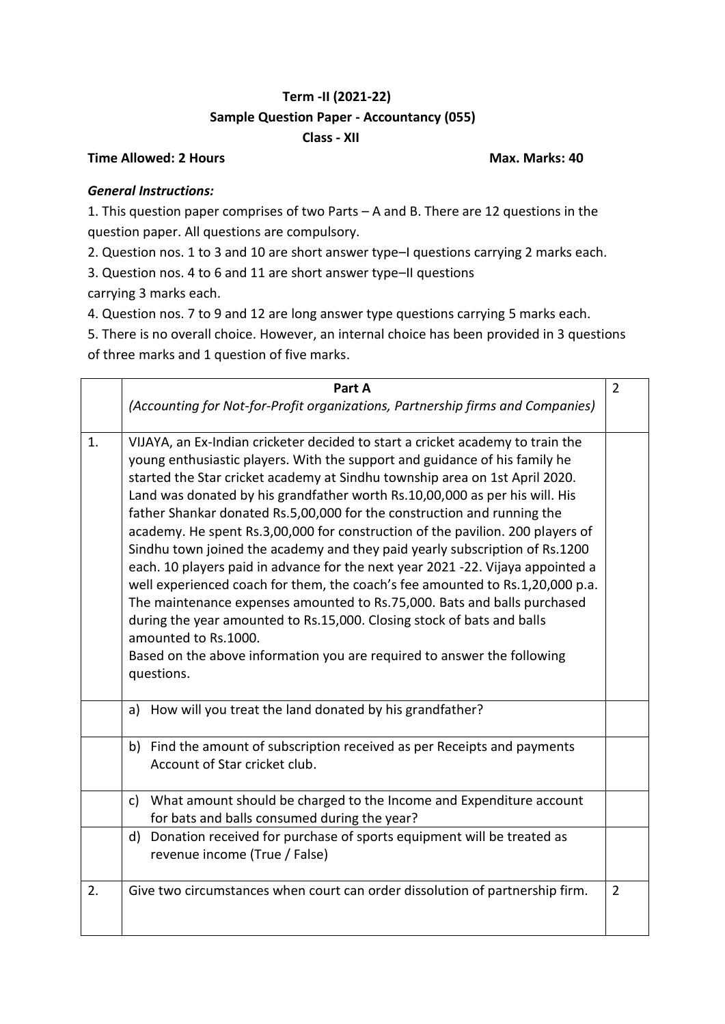## **Term -II (2021-22) Sample Question Paper - Accountancy (055) Class - XII**

## **Time Allowed: 2 Hours Max. Marks: 40**

## *General Instructions:*

1. This question paper comprises of two Parts – A and B. There are 12 questions in the question paper. All questions are compulsory.

2. Question nos. 1 to 3 and 10 are short answer type–I questions carrying 2 marks each.

3. Question nos. 4 to 6 and 11 are short answer type–II questions

carrying 3 marks each.

4. Question nos. 7 to 9 and 12 are long answer type questions carrying 5 marks each.

5. There is no overall choice. However, an internal choice has been provided in 3 questions of three marks and 1 question of five marks.

|    | Part A                                                                                                                                                                                                                                                                                                                                                                                                                                                                                                                                                                                                                                                                                                                                                                                                                                                                                                                                                                                                            | $\overline{2}$ |
|----|-------------------------------------------------------------------------------------------------------------------------------------------------------------------------------------------------------------------------------------------------------------------------------------------------------------------------------------------------------------------------------------------------------------------------------------------------------------------------------------------------------------------------------------------------------------------------------------------------------------------------------------------------------------------------------------------------------------------------------------------------------------------------------------------------------------------------------------------------------------------------------------------------------------------------------------------------------------------------------------------------------------------|----------------|
|    | (Accounting for Not-for-Profit organizations, Partnership firms and Companies)                                                                                                                                                                                                                                                                                                                                                                                                                                                                                                                                                                                                                                                                                                                                                                                                                                                                                                                                    |                |
| 1. | VIJAYA, an Ex-Indian cricketer decided to start a cricket academy to train the<br>young enthusiastic players. With the support and guidance of his family he<br>started the Star cricket academy at Sindhu township area on 1st April 2020.<br>Land was donated by his grandfather worth Rs.10,00,000 as per his will. His<br>father Shankar donated Rs.5,00,000 for the construction and running the<br>academy. He spent Rs.3,00,000 for construction of the pavilion. 200 players of<br>Sindhu town joined the academy and they paid yearly subscription of Rs.1200<br>each. 10 players paid in advance for the next year 2021 -22. Vijaya appointed a<br>well experienced coach for them, the coach's fee amounted to Rs.1,20,000 p.a.<br>The maintenance expenses amounted to Rs.75,000. Bats and balls purchased<br>during the year amounted to Rs.15,000. Closing stock of bats and balls<br>amounted to Rs.1000.<br>Based on the above information you are required to answer the following<br>questions. |                |
|    | How will you treat the land donated by his grandfather?<br>a)                                                                                                                                                                                                                                                                                                                                                                                                                                                                                                                                                                                                                                                                                                                                                                                                                                                                                                                                                     |                |
|    | b) Find the amount of subscription received as per Receipts and payments<br>Account of Star cricket club.                                                                                                                                                                                                                                                                                                                                                                                                                                                                                                                                                                                                                                                                                                                                                                                                                                                                                                         |                |
|    | c) What amount should be charged to the Income and Expenditure account<br>for bats and balls consumed during the year?                                                                                                                                                                                                                                                                                                                                                                                                                                                                                                                                                                                                                                                                                                                                                                                                                                                                                            |                |
|    | Donation received for purchase of sports equipment will be treated as<br>d)<br>revenue income (True / False)                                                                                                                                                                                                                                                                                                                                                                                                                                                                                                                                                                                                                                                                                                                                                                                                                                                                                                      |                |
| 2. | Give two circumstances when court can order dissolution of partnership firm.                                                                                                                                                                                                                                                                                                                                                                                                                                                                                                                                                                                                                                                                                                                                                                                                                                                                                                                                      | $\overline{2}$ |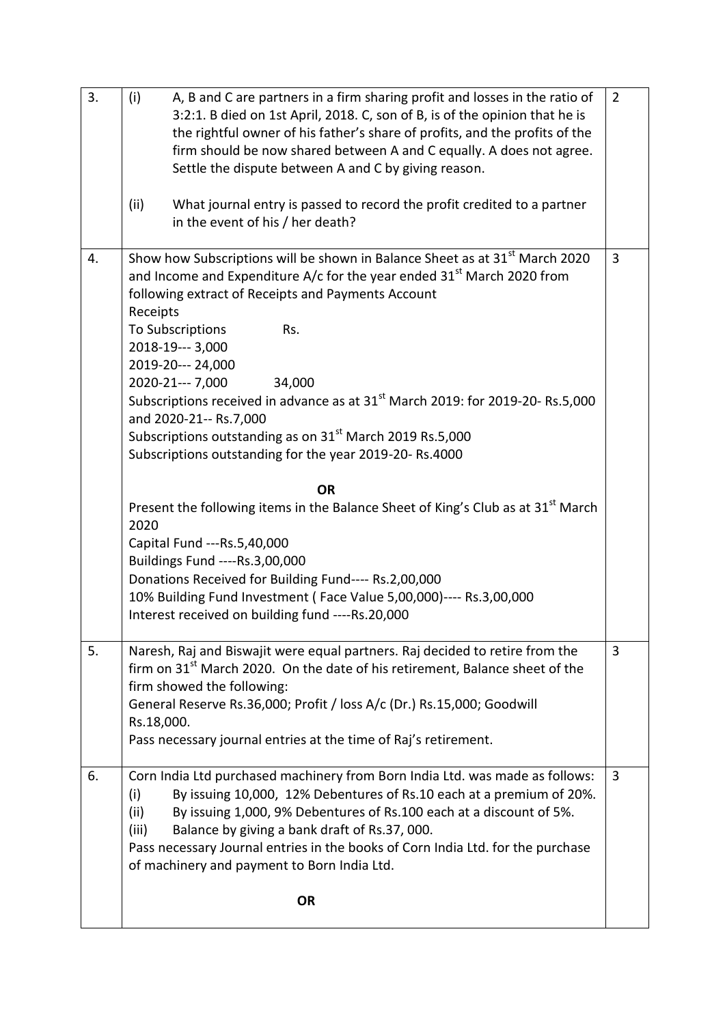| 3. | (i)<br>A, B and C are partners in a firm sharing profit and losses in the ratio of<br>3:2:1. B died on 1st April, 2018. C, son of B, is of the opinion that he is<br>the rightful owner of his father's share of profits, and the profits of the<br>firm should be now shared between A and C equally. A does not agree.<br>Settle the dispute between A and C by giving reason.<br>(ii)<br>What journal entry is passed to record the profit credited to a partner<br>in the event of his / her death?                                                                                            | $\overline{2}$ |
|----|----------------------------------------------------------------------------------------------------------------------------------------------------------------------------------------------------------------------------------------------------------------------------------------------------------------------------------------------------------------------------------------------------------------------------------------------------------------------------------------------------------------------------------------------------------------------------------------------------|----------------|
| 4. | Show how Subscriptions will be shown in Balance Sheet as at 31 <sup>st</sup> March 2020<br>and Income and Expenditure A/c for the year ended $31st$ March 2020 from<br>following extract of Receipts and Payments Account<br>Receipts<br>To Subscriptions<br>Rs.<br>2018-19--- 3,000<br>2019-20--- 24,000<br>2020-21--- 7,000<br>34,000<br>Subscriptions received in advance as at 31 <sup>st</sup> March 2019: for 2019-20- Rs.5,000<br>and 2020-21-- Rs.7,000<br>Subscriptions outstanding as on 31 <sup>st</sup> March 2019 Rs.5,000<br>Subscriptions outstanding for the year 2019-20- Rs.4000 | $\overline{3}$ |
|    | <b>OR</b><br>Present the following items in the Balance Sheet of King's Club as at 31 <sup>st</sup> March<br>2020<br>Capital Fund --- Rs. 5,40,000<br>Buildings Fund ----Rs.3,00,000<br>Donations Received for Building Fund---- Rs.2,00,000<br>10% Building Fund Investment (Face Value 5,00,000)---- Rs.3,00,000<br>Interest received on building fund ----Rs.20,000                                                                                                                                                                                                                             |                |
| 5. | Naresh, Raj and Biswajit were equal partners. Raj decided to retire from the<br>firm on 31 <sup>st</sup> March 2020. On the date of his retirement, Balance sheet of the<br>firm showed the following:<br>General Reserve Rs.36,000; Profit / loss A/c (Dr.) Rs.15,000; Goodwill<br>Rs.18,000.<br>Pass necessary journal entries at the time of Raj's retirement.                                                                                                                                                                                                                                  | 3              |
| 6. | Corn India Ltd purchased machinery from Born India Ltd. was made as follows:<br>By issuing 10,000, 12% Debentures of Rs.10 each at a premium of 20%.<br>(i)<br>By issuing 1,000, 9% Debentures of Rs.100 each at a discount of 5%.<br>(ii)<br>(iii)<br>Balance by giving a bank draft of Rs.37, 000.<br>Pass necessary Journal entries in the books of Corn India Ltd. for the purchase<br>of machinery and payment to Born India Ltd.                                                                                                                                                             | $\overline{3}$ |
|    | <b>OR</b>                                                                                                                                                                                                                                                                                                                                                                                                                                                                                                                                                                                          |                |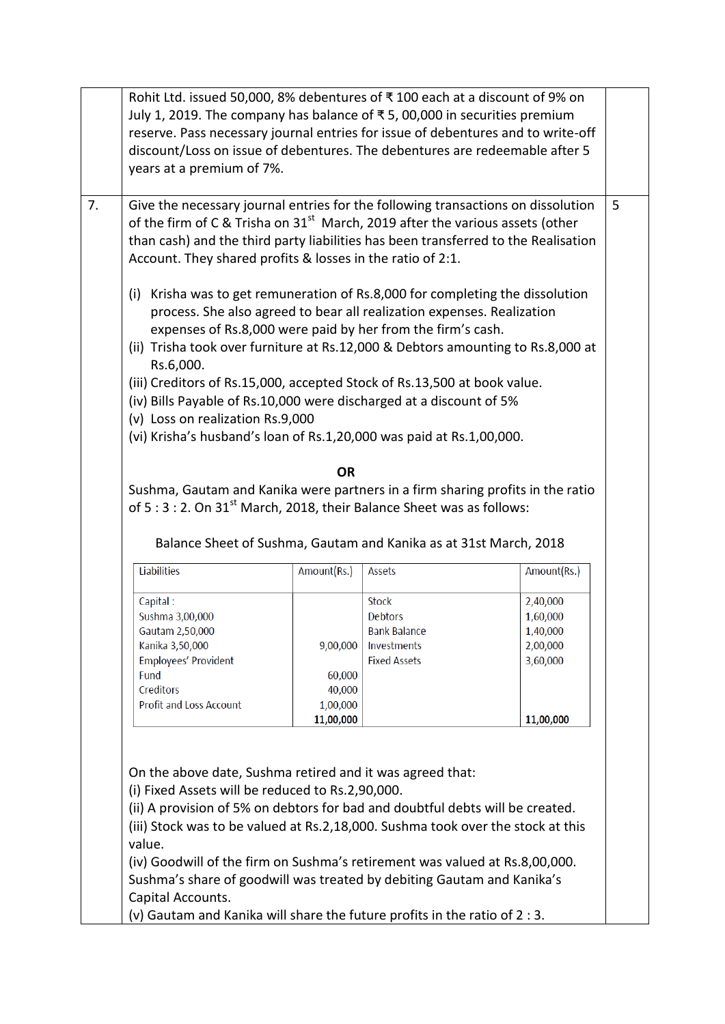| years at a premium of 7%.                                                                                                                                                                                                                                                                                                         |             |                     | discount/Loss on issue of debentures. The debentures are redeemable after 5 |
|-----------------------------------------------------------------------------------------------------------------------------------------------------------------------------------------------------------------------------------------------------------------------------------------------------------------------------------|-------------|---------------------|-----------------------------------------------------------------------------|
| Give the necessary journal entries for the following transactions on dissolution<br>of the firm of C & Trisha on 31 <sup>st</sup> March, 2019 after the various assets (other<br>than cash) and the third party liabilities has been transferred to the Realisation<br>Account. They shared profits & losses in the ratio of 2:1. |             |                     |                                                                             |
| (i) Krisha was to get remuneration of Rs.8,000 for completing the dissolution<br>process. She also agreed to bear all realization expenses. Realization<br>expenses of Rs.8,000 were paid by her from the firm's cash.<br>(ii) Trisha took over furniture at Rs.12,000 & Debtors amounting to Rs.8,000 at                         |             |                     |                                                                             |
| Rs.6,000.                                                                                                                                                                                                                                                                                                                         |             |                     |                                                                             |
| (iii) Creditors of Rs.15,000, accepted Stock of Rs.13,500 at book value.                                                                                                                                                                                                                                                          |             |                     |                                                                             |
| (iv) Bills Payable of Rs.10,000 were discharged at a discount of 5%                                                                                                                                                                                                                                                               |             |                     |                                                                             |
| (v) Loss on realization Rs.9,000                                                                                                                                                                                                                                                                                                  |             |                     |                                                                             |
| (vi) Krisha's husband's loan of Rs.1,20,000 was paid at Rs.1,00,000.                                                                                                                                                                                                                                                              |             |                     |                                                                             |
|                                                                                                                                                                                                                                                                                                                                   |             |                     |                                                                             |
|                                                                                                                                                                                                                                                                                                                                   | <b>OR</b>   |                     |                                                                             |
| Sushma, Gautam and Kanika were partners in a firm sharing profits in the ratio                                                                                                                                                                                                                                                    |             |                     |                                                                             |
| of $5:3:2$ . On $31^{st}$ March, 2018, their Balance Sheet was as follows:                                                                                                                                                                                                                                                        |             |                     |                                                                             |
|                                                                                                                                                                                                                                                                                                                                   |             |                     |                                                                             |
|                                                                                                                                                                                                                                                                                                                                   |             |                     |                                                                             |
| Balance Sheet of Sushma, Gautam and Kanika as at 31st March, 2018                                                                                                                                                                                                                                                                 |             |                     |                                                                             |
| <b>Liabilities</b>                                                                                                                                                                                                                                                                                                                | Amount(Rs.) | Assets              | Amount(Rs.)                                                                 |
|                                                                                                                                                                                                                                                                                                                                   |             | <b>Stock</b>        | 2,40,000                                                                    |
|                                                                                                                                                                                                                                                                                                                                   |             | Debtors             | 1,60,000                                                                    |
| Capital:                                                                                                                                                                                                                                                                                                                          |             |                     |                                                                             |
| Sushma 3,00,000                                                                                                                                                                                                                                                                                                                   |             | <b>Bank Balance</b> |                                                                             |
| Gautam 2,50,000<br>Kanika 3,50,000                                                                                                                                                                                                                                                                                                | 9,00,000    | Investments         | 1,40,000<br>2,00,000                                                        |
|                                                                                                                                                                                                                                                                                                                                   |             | <b>Fixed Assets</b> |                                                                             |
| Employees' Provident<br>Fund                                                                                                                                                                                                                                                                                                      | 60,000      |                     | 3,60,000                                                                    |
| Creditors                                                                                                                                                                                                                                                                                                                         | 40,000      |                     |                                                                             |
| <b>Profit and Loss Account</b>                                                                                                                                                                                                                                                                                                    | 1,00,000    |                     |                                                                             |
|                                                                                                                                                                                                                                                                                                                                   |             |                     |                                                                             |
|                                                                                                                                                                                                                                                                                                                                   | 11,00,000   |                     | 11,00,000                                                                   |
|                                                                                                                                                                                                                                                                                                                                   |             |                     |                                                                             |
|                                                                                                                                                                                                                                                                                                                                   |             |                     |                                                                             |
| On the above date, Sushma retired and it was agreed that:                                                                                                                                                                                                                                                                         |             |                     |                                                                             |
| (i) Fixed Assets will be reduced to Rs.2,90,000.                                                                                                                                                                                                                                                                                  |             |                     |                                                                             |
|                                                                                                                                                                                                                                                                                                                                   |             |                     |                                                                             |
| (ii) A provision of 5% on debtors for bad and doubtful debts will be created.<br>(iii) Stock was to be valued at Rs.2,18,000. Sushma took over the stock at this                                                                                                                                                                  |             |                     |                                                                             |

(v) Gautam and Kanika will share the future profits in the ratio of 2 : 3.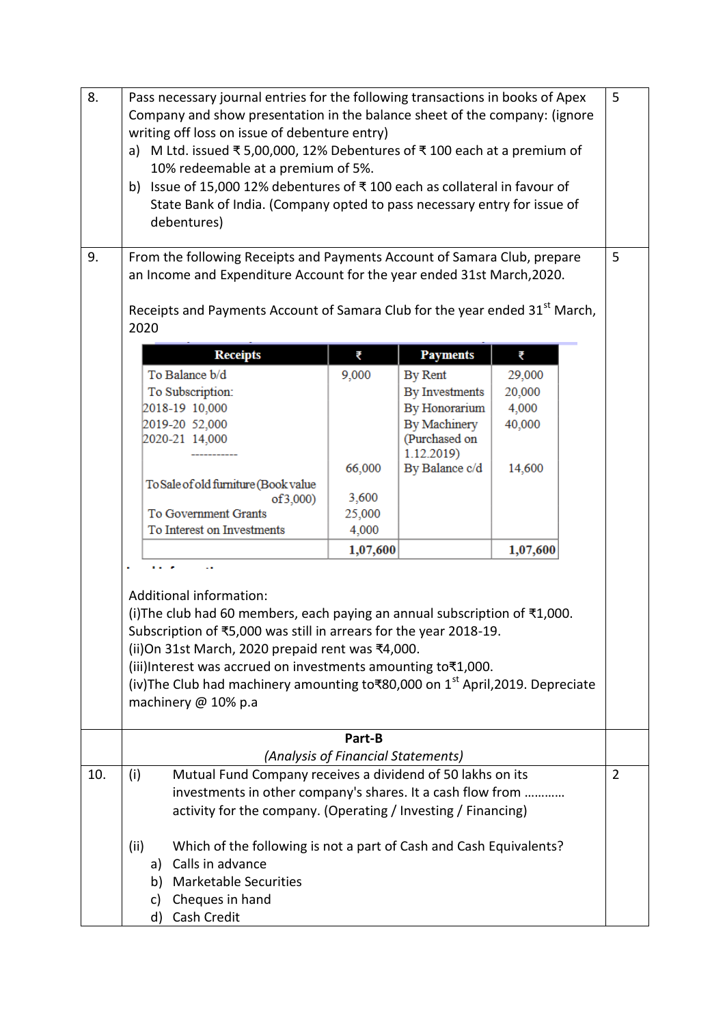| 8.<br>9. | Pass necessary journal entries for the following transactions in books of Apex<br>Company and show presentation in the balance sheet of the company: (ignore<br>writing off loss on issue of debenture entry)<br>a) M Ltd. issued ₹ 5,00,000, 12% Debentures of ₹ 100 each at a premium of<br>10% redeemable at a premium of 5%.<br>Issue of 15,000 12% debentures of ₹100 each as collateral in favour of<br>b)<br>State Bank of India. (Company opted to pass necessary entry for issue of<br>debentures)<br>From the following Receipts and Payments Account of Samara Club, prepare<br>an Income and Expenditure Account for the year ended 31st March, 2020.<br>Receipts and Payments Account of Samara Club for the year ended 31 <sup>st</sup> March, |                                              |                             |          | 5<br>5         |
|----------|--------------------------------------------------------------------------------------------------------------------------------------------------------------------------------------------------------------------------------------------------------------------------------------------------------------------------------------------------------------------------------------------------------------------------------------------------------------------------------------------------------------------------------------------------------------------------------------------------------------------------------------------------------------------------------------------------------------------------------------------------------------|----------------------------------------------|-----------------------------|----------|----------------|
|          | 2020                                                                                                                                                                                                                                                                                                                                                                                                                                                                                                                                                                                                                                                                                                                                                         |                                              |                             |          |                |
|          | <b>Receipts</b>                                                                                                                                                                                                                                                                                                                                                                                                                                                                                                                                                                                                                                                                                                                                              | ₹                                            | <b>Payments</b>             | ₹        |                |
|          | To Balance b/d                                                                                                                                                                                                                                                                                                                                                                                                                                                                                                                                                                                                                                                                                                                                               | 9,000                                        | By Rent                     | 29,000   |                |
|          | To Subscription:                                                                                                                                                                                                                                                                                                                                                                                                                                                                                                                                                                                                                                                                                                                                             |                                              | By Investments              | 20,000   |                |
|          | 2018-19 10,000                                                                                                                                                                                                                                                                                                                                                                                                                                                                                                                                                                                                                                                                                                                                               |                                              | By Honorarium               | 4,000    |                |
|          | 2019-20 52,000                                                                                                                                                                                                                                                                                                                                                                                                                                                                                                                                                                                                                                                                                                                                               |                                              | By Machinery                | 40,000   |                |
|          | 2020-21 14,000                                                                                                                                                                                                                                                                                                                                                                                                                                                                                                                                                                                                                                                                                                                                               |                                              | (Purchased on<br>1.12.2019) |          |                |
|          |                                                                                                                                                                                                                                                                                                                                                                                                                                                                                                                                                                                                                                                                                                                                                              | 66,000                                       | By Balance c/d              | 14,600   |                |
|          | To Sale of old furniture (Book value                                                                                                                                                                                                                                                                                                                                                                                                                                                                                                                                                                                                                                                                                                                         |                                              |                             |          |                |
|          | of 3,000                                                                                                                                                                                                                                                                                                                                                                                                                                                                                                                                                                                                                                                                                                                                                     | 3,600                                        |                             |          |                |
|          | To Government Grants                                                                                                                                                                                                                                                                                                                                                                                                                                                                                                                                                                                                                                                                                                                                         | 25,000                                       |                             |          |                |
|          | To Interest on Investments                                                                                                                                                                                                                                                                                                                                                                                                                                                                                                                                                                                                                                                                                                                                   | 4,000                                        |                             |          |                |
|          |                                                                                                                                                                                                                                                                                                                                                                                                                                                                                                                                                                                                                                                                                                                                                              | 1,07,600                                     |                             | 1,07,600 |                |
|          | Additional information:<br>(i) The club had 60 members, each paying an annual subscription of $\overline{\tau}1,000$ .<br>Subscription of ₹5,000 was still in arrears for the year 2018-19.<br>(ii) On 31st March, 2020 prepaid rent was ₹4,000.<br>(iii)Interest was accrued on investments amounting to₹1,000.<br>(iv)The Club had machinery amounting to₹80,000 on 1 <sup>st</sup> April,2019. Depreciate<br>machinery @ 10% p.a                                                                                                                                                                                                                                                                                                                          |                                              |                             |          |                |
|          |                                                                                                                                                                                                                                                                                                                                                                                                                                                                                                                                                                                                                                                                                                                                                              | Part-B<br>(Analysis of Financial Statements) |                             |          |                |
| 10.      | Mutual Fund Company receives a dividend of 50 lakhs on its<br>(i)                                                                                                                                                                                                                                                                                                                                                                                                                                                                                                                                                                                                                                                                                            |                                              |                             |          | $\overline{2}$ |
|          | investments in other company's shares. It a cash flow from                                                                                                                                                                                                                                                                                                                                                                                                                                                                                                                                                                                                                                                                                                   |                                              |                             |          |                |
|          | activity for the company. (Operating / Investing / Financing)                                                                                                                                                                                                                                                                                                                                                                                                                                                                                                                                                                                                                                                                                                |                                              |                             |          |                |
|          | Which of the following is not a part of Cash and Cash Equivalents?<br>(ii)<br>Calls in advance<br>a)<br><b>Marketable Securities</b><br>b)<br>Cheques in hand<br>c)<br>Cash Credit<br>d)                                                                                                                                                                                                                                                                                                                                                                                                                                                                                                                                                                     |                                              |                             |          |                |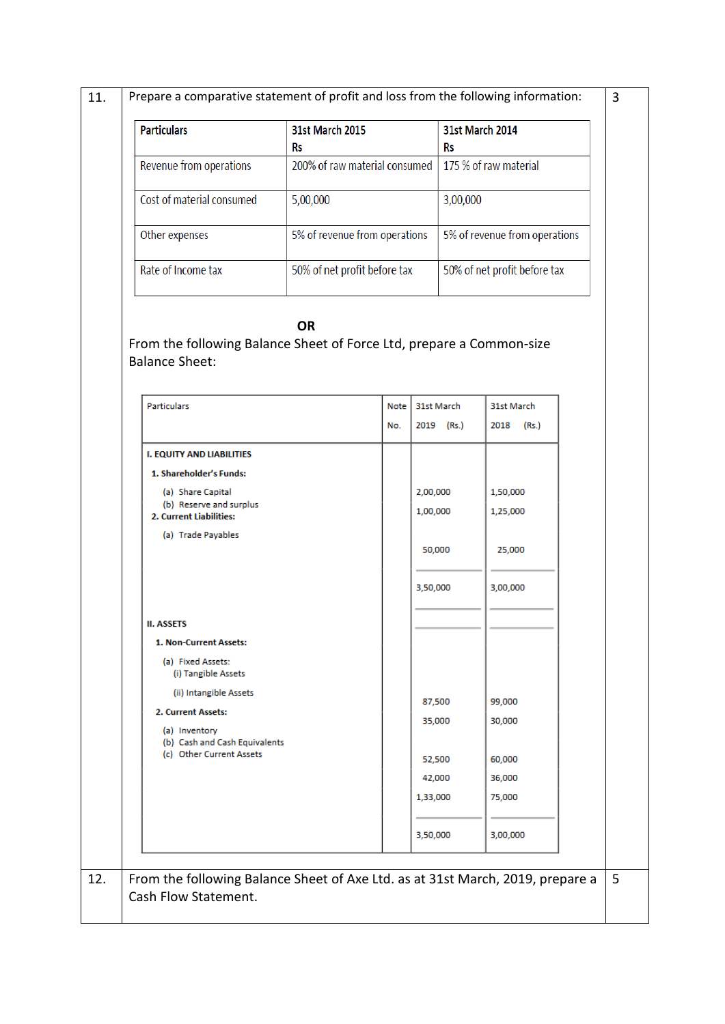11. Prepare a comparative statement of profit and loss from the following information:

| <b>Particulars</b>        | <b>31st March 2015</b>        | <b>31st March 2014</b>        |
|---------------------------|-------------------------------|-------------------------------|
|                           | Rs                            | Rs                            |
| Revenue from operations   | 200% of raw material consumed | 175 % of raw material         |
| Cost of material consumed | 5,00,000                      | 3,00,000                      |
| Other expenses            | 5% of revenue from operations | 5% of revenue from operations |
| Rate of Income tax        | 50% of net profit before tax  | 50% of net profit before tax  |

**OR** 

From the following Balance Sheet of Force Ltd, prepare a Common-size Balance Sheet:

| <b>Particulars</b>                                                             | Note | 31st March | 31st March    |
|--------------------------------------------------------------------------------|------|------------|---------------|
|                                                                                | No.  | 2019 (Rs.) | 2018<br>(Rs.) |
| <b>I. EQUITY AND LIABILITIES</b>                                               |      |            |               |
| 1. Shareholder's Funds:                                                        |      |            |               |
| (a) Share Capital                                                              |      | 2,00,000   | 1,50,000      |
| (b) Reserve and surplus<br>2. Current Liabilities:                             |      | 1,00,000   | 1,25,000      |
| (a) Trade Payables                                                             |      |            |               |
|                                                                                |      | 50,000     | 25,000        |
|                                                                                |      | 3,50,000   | 3,00,000      |
|                                                                                |      |            |               |
| <b>II. ASSETS</b>                                                              |      |            |               |
| 1. Non-Current Assets:                                                         |      |            |               |
| (a) Fixed Assets:<br>(i) Tangible Assets                                       |      |            |               |
| (ii) Intangible Assets                                                         |      | 87,500     | 99,000        |
| 2. Current Assets:                                                             |      | 35,000     | 30,000        |
| (a) Inventory<br>(b) Cash and Cash Equivalents                                 |      |            |               |
| (c) Other Current Assets                                                       |      | 52,500     | 60,000        |
|                                                                                |      | 42,000     | 36,000        |
|                                                                                |      | 1,33,000   | 75,000        |
|                                                                                |      | 3,50,000   | 3,00,000      |
|                                                                                |      |            |               |
| From the following Balance Sheet of Axe Ltd. as at 31st March, 2019, prepare a |      |            |               |
| Cash Flow Statement.                                                           |      |            |               |

3